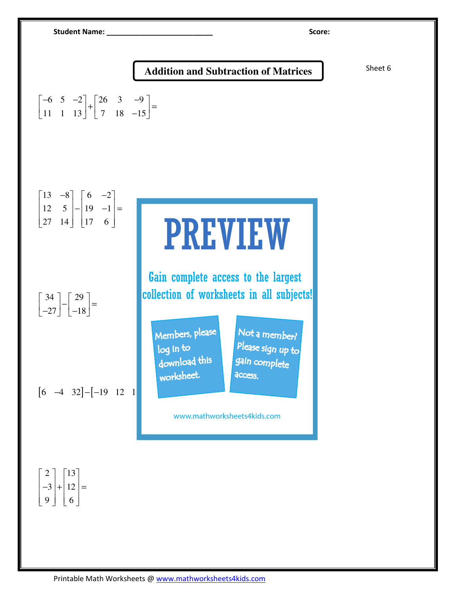